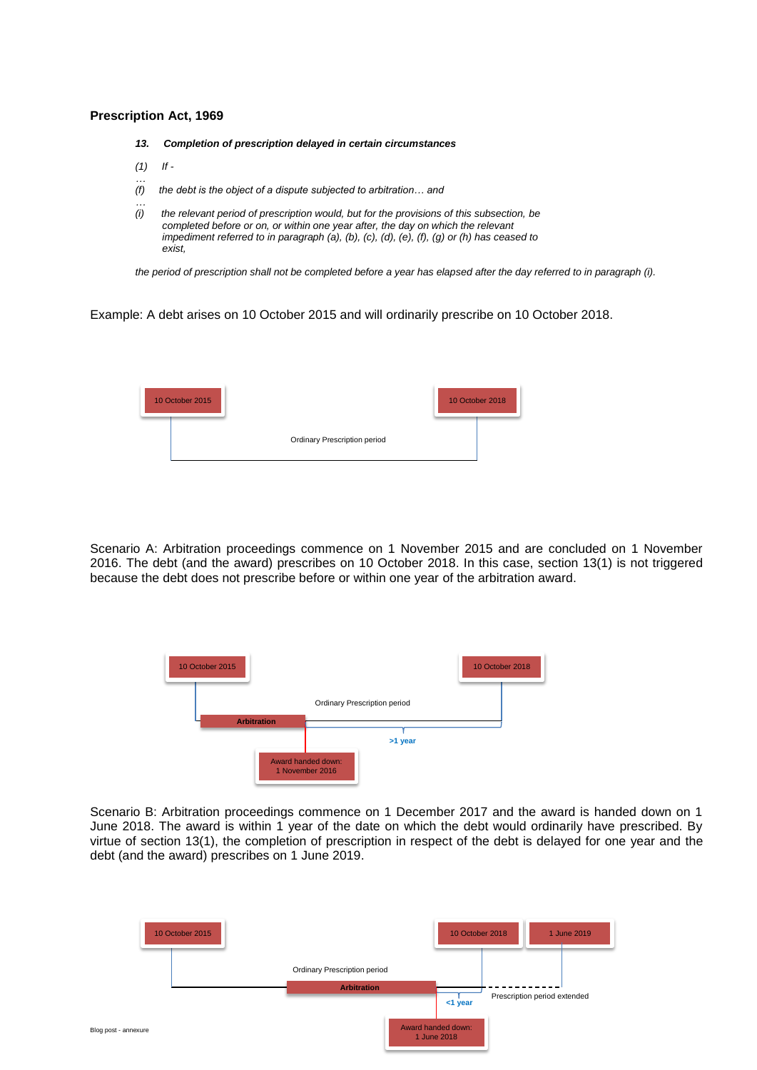## **Prescription Act, 1969**

- *13. Completion of prescription delayed in certain circumstances*
- *(1) If -*

*…*

- *… (f) the debt is the object of a dispute subjected to arbitration… and*
- *(i) the relevant period of prescription would, but for the provisions of this subsection, be completed before or on, or within one year after, the day on which the relevant impediment referred to in paragraph (a), (b), (c), (d), (e), (f), (g) or (h) has ceased to exist,*

*the period of prescription shall not be completed before a year has elapsed after the day referred to in paragraph (i).*

Example: A debt arises on 10 October 2015 and will ordinarily prescribe on 10 October 2018.



Scenario A: Arbitration proceedings commence on 1 November 2015 and are concluded on 1 November 2016. The debt (and the award) prescribes on 10 October 2018. In this case, section 13(1) is not triggered because the debt does not prescribe before or within one year of the arbitration award.



Scenario B: Arbitration proceedings commence on 1 December 2017 and the award is handed down on 1 June 2018. The award is within 1 year of the date on which the debt would ordinarily have prescribed. By virtue of section 13(1), the completion of prescription in respect of the debt is delayed for one year and the debt (and the award) prescribes on 1 June 2019.